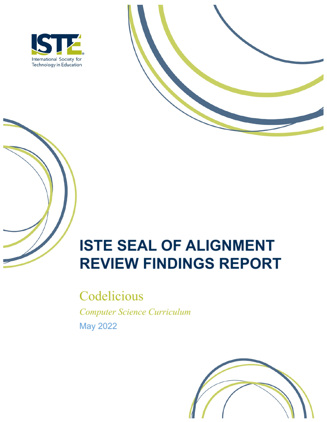



# **ISTE SEAL OF ALIGNMENT REVIEW FINDINGS REPORT**

Codelicious Computer Science Curriculum May 2022

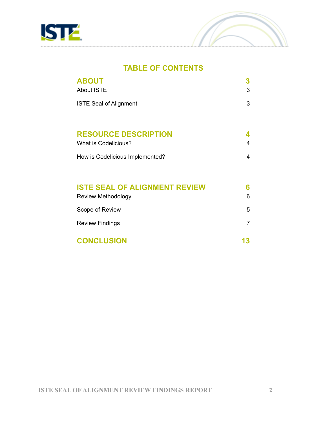



### **TABLE OF CONTENTS**

| <b>ABOUT</b><br><b>About ISTE</b>    | 3 |
|--------------------------------------|---|
| <b>ISTE Seal of Alignment</b>        | 3 |
| <b>RESOURCE DESCRIPTION</b>          |   |
| <b>What is Codelicious?</b>          | 4 |
| How is Codelicious Implemented?      | 4 |
| <b>ISTE SEAL OF ALIGNMENT REVIEW</b> | 6 |
| Review Methodology                   | 6 |
| Scope of Review                      | 5 |
| <b>Review Findings</b>               | 7 |

**CONCLUSION 13**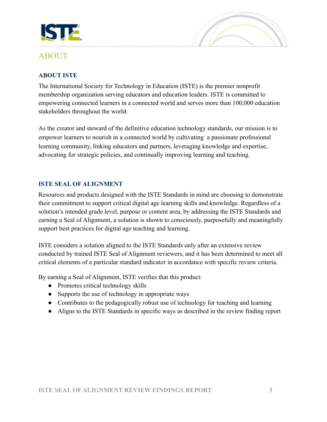

# ABOUT

#### **ABOUT ISTE**

The International Society for Technology in Education (ISTE) is the premier nonprofit membership organization serving educators and education leaders. ISTE is committed to empowering connected learners in a connected world and serves more than 100,000 education stakeholders throughout the world.

As the creator and steward of the definitive education technology standards, our mission is to empower learners to nourish in a connected world by cultivating a passionate professional learning community, linking educators and partners, leveraging knowledge and expertise, advocating for strategic policies, and continually improving learning and teaching.

#### **ISTE SEAL OF ALIGNMENT**

Resources and products designed with the ISTE Standards in mind are choosing to demonstrate their commitment to support critical digital age learning skills and knowledge. Regardless of a solution's intended grade level, purpose or content area, by addressing the ISTE Standards and earning a Seal of Alignment, a solution is shown to consciously, purposefully and meaningfully support best practices for digital age teaching and learning.

ISTE considers a solution aligned to the ISTE Standards only after an extensive review conducted by trained ISTE Seal of Alignment reviewers, and it has been determined to meet all critical elements of a particular standard indicator in accordance with specific review criteria.

By earning a Seal of Alignment, ISTE verifies that this product:

- Promotes critical technology skills
- Supports the use of technology in appropriate ways
- Contributes to the pedagogically robust use of technology for teaching and learning
- Aligns to the ISTE Standards in specific ways as described in the review finding report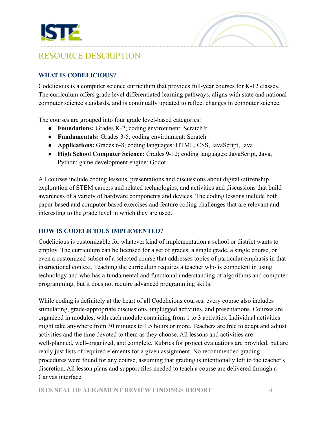



# RESOURCE DESCRIPTION

#### **WHAT IS CODELICIOUS?**

Codelicious is a computer science curriculum that provides full-year courses for K-12 classes. The curriculum offers grade level differentiated learning pathways, aligns with state and national computer science standards, and is continually updated to reflect changes in computer science.

The courses are grouped into four grade level-based categories:

- **Foundations:** Grades K-2; coding environment: ScratchJr
- **Fundamentals:** Grades 3-5; coding environment: Scratch
- **Applications:** Grades 6-8; coding languages: HTML, CSS, JavaScript, Java
- **High School Computer Science:** Grades 9-12; coding languages: JavaScript, Java, Python; game development engine: Godot

All courses include coding lessons, presentations and discussions about digital citizenship, exploration of STEM careers and related technologies, and activities and discussions that build awareness of a variety of hardware components and devices. The coding lessons include both paper-based and computer-based exercises and feature coding challenges that are relevant and interesting to the grade level in which they are used.

#### **HOW IS CODELICIOUS IMPLEMENTED?**

Codelicious is customizable for whatever kind of implementation a school or district wants to employ. The curriculum can be licensed for a set of grades, a single grade, a single course, or even a customized subset of a selected course that addresses topics of particular emphasis in that instructional context. Teaching the curriculum requires a teacher who is competent in using technology and who has a fundamental and functional understanding of algorithms and computer programming, but it does not require advanced programming skills.

While coding is definitely at the heart of all Codelicious courses, every course also includes stimulating, grade-appropriate discussions, unplugged activities, and presentations. Courses are organized in modules, with each module containing from 1 to 3 activities. Individual activities might take anywhere from 30 minutes to 1.5 hours or more. Teachers are free to adapt and adjust activities and the time devoted to them as they choose. All lessons and activities are well-planned, well-organized, and complete. Rubrics for project evaluations are provided, but are really just lists of required elements for a given assignment. No recommended grading procedures were found for any course, assuming that grading is intentionally left to the teacher's discretion. All lesson plans and support files needed to teach a course are delivered through a Canvas interface.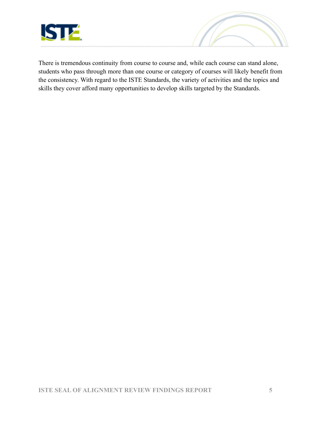



There is tremendous continuity from course to course and, while each course can stand alone, students who pass through more than one course or category of courses will likely benefit from the consistency. With regard to the ISTE Standards, the variety of activities and the topics and skills they cover afford many opportunities to develop skills targeted by the Standards.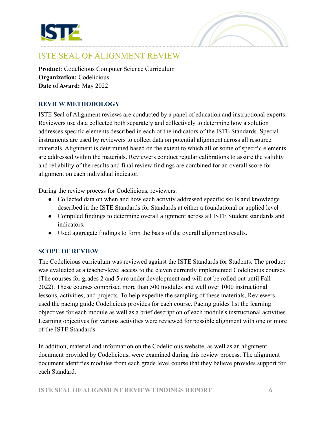



# ISTE SEAL OF ALIGNMENT REVIEW

**Product:** Codelicious Computer Science Curriculum **Organization:** Codelicious **Date of Award:** May 2022

#### **REVIEW METHODOLOGY**

ISTE Seal of Alignment reviews are conducted by a panel of education and instructional experts. Reviewers use data collected both separately and collectively to determine how a solution addresses specific elements described in each of the indicators of the ISTE Standards. Special instruments are used by reviewers to collect data on potential alignment across all resource materials. Alignment is determined based on the extent to which all or some of specific elements are addressed within the materials. Reviewers conduct regular calibrations to assure the validity and reliability of the results and final review findings are combined for an overall score for alignment on each individual indicator.

During the review process for Codelicious, reviewers:

- Collected data on when and how each activity addressed specific skills and knowledge described in the ISTE Standards for Standards at either a foundational or applied level
- Compiled findings to determine overall alignment across all ISTE Student standards and indicators.
- Used aggregate findings to form the basis of the overall alignment results.

#### **SCOPE OF REVIEW**

The Codelicious curriculum was reviewed against the ISTE Standards for Students. The product was evaluated at a teacher-level access to the eleven currently implemented Codelicious courses (The courses for grades 2 and 5 are under development and will not be rolled out until Fall 2022). These courses comprised more than 500 modules and well over 1000 instructional lessons, activities, and projects. To help expedite the sampling of these materials, Reviewers used the pacing guide Codelicious provides for each course. Pacing guides list the learning objectives for each module as well as a brief description of each module's instructional activities. Learning objectives for various activities were reviewed for possible alignment with one or more of the ISTE Standards.

In addition, material and information on the Codelicious website, as well as an alignment document provided by Codelicious, were examined during this review process. The alignment document identifies modules from each grade level course that they believe provides support for each Standard.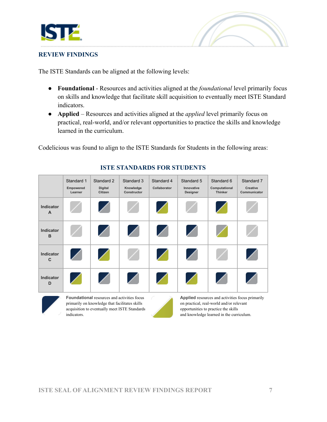



#### **REVIEW FINDINGS**

The ISTE Standards can be aligned at the following levels:

- **Foundational** Resources and activities aligned at the *foundational* level primarily focus on skills and knowledge that facilitate skill acquisition to eventually meet ISTE Standard indicators.
- **Applied** Resources and activities aligned at the *applied* level primarily focus on practical, real-world, and/or relevant opportunities to practice the skills and knowledge learned in the curriculum.

Codelicious was found to align to the ISTE Standards for Students in the following areas:

|                           | Standard 1<br>Empowered<br>Learner | Standard 2<br><b>Digital</b><br><b>Citizen</b>                                                                                                        | Standard 3<br>Knowledge<br>Constructor | Standard 4<br>Collaborator | Standard 5<br>Innovative<br>Designer | Standard 6<br>Computational<br><b>Thinker</b>                                                                                                                                    | Standard 7<br>Creative<br>Communicator |
|---------------------------|------------------------------------|-------------------------------------------------------------------------------------------------------------------------------------------------------|----------------------------------------|----------------------------|--------------------------------------|----------------------------------------------------------------------------------------------------------------------------------------------------------------------------------|----------------------------------------|
| Indicator<br>$\Delta$     |                                    | χ                                                                                                                                                     |                                        | χ                          |                                      | Γ                                                                                                                                                                                |                                        |
| Indicator<br>B            |                                    | $\diagup$                                                                                                                                             | Ζ                                      | χ                          | Ζ                                    |                                                                                                                                                                                  |                                        |
| Indicator<br>$\mathbf{C}$ | Ζ                                  | Χ                                                                                                                                                     |                                        | χ                          | Ζ                                    |                                                                                                                                                                                  | Ζ                                      |
| Indicator<br>D            |                                    | Ζ                                                                                                                                                     | Ζ                                      | χ                          | χ                                    | $\angle$                                                                                                                                                                         |                                        |
|                           | indicators.                        | <b>Foundational</b> resources and activities focus<br>primarily on knowledge that facilitates skills<br>acquisition to eventually meet ISTE Standards |                                        |                            |                                      | Applied resources and activities focus primarily<br>on practical, real-world and/or relevant<br>opportunities to practice the skills<br>and knowledge learned in the curriculum. |                                        |

#### **ISTE STANDARDS FOR STUDENTS**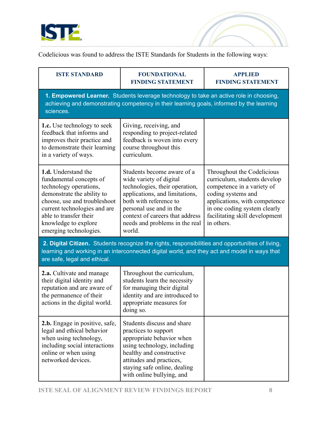

Codelicious was found to address the ISTE Standards for Students in the following ways:

| <b>ISTE STANDARD</b>                                                                                                                                                                                                                               | <b>FOUNDATIONAL</b><br><b>FINDING STATEMENT</b>                                                                                                                                                                                                               | <b>APPLIED</b><br><b>FINDING STATEMENT</b>                                                                                                                                                                                      |  |  |
|----------------------------------------------------------------------------------------------------------------------------------------------------------------------------------------------------------------------------------------------------|---------------------------------------------------------------------------------------------------------------------------------------------------------------------------------------------------------------------------------------------------------------|---------------------------------------------------------------------------------------------------------------------------------------------------------------------------------------------------------------------------------|--|--|
| 1. Empowered Learner. Students leverage technology to take an active role in choosing,<br>achieving and demonstrating competency in their learning goals, informed by the learning<br>sciences.                                                    |                                                                                                                                                                                                                                                               |                                                                                                                                                                                                                                 |  |  |
| <b>1.c.</b> Use technology to seek<br>feedback that informs and<br>improves their practice and<br>to demonstrate their learning<br>in a variety of ways.                                                                                           | Giving, receiving, and<br>responding to project-related<br>feedback is woven into every<br>course throughout this<br>curriculum.                                                                                                                              |                                                                                                                                                                                                                                 |  |  |
| 1.d. Understand the<br>fundamental concepts of<br>technology operations,<br>demonstrate the ability to<br>choose, use and troubleshoot<br>current technologies and are<br>able to transfer their<br>knowledge to explore<br>emerging technologies. | Students become aware of a<br>wide variety of digital<br>technologies, their operation,<br>applications, and limitations,<br>both with reference to<br>personal use and in the<br>context of careers that address<br>needs and problems in the real<br>world. | Throughout the Codelicious<br>curriculum, students develop<br>competence in a variety of<br>coding systems and<br>applications, with competence<br>in one coding system clearly<br>facilitating skill development<br>in others. |  |  |
| 2. Digital Citizen. Students recognize the rights, responsibilities and opportunities of living,<br>learning and working in an interconnected digital world, and they act and model in ways that<br>are safe, legal and ethical.                   |                                                                                                                                                                                                                                                               |                                                                                                                                                                                                                                 |  |  |
| 2.a. Cultivate and manage<br>their digital identity and<br>reputation and are aware of<br>the permanence of their<br>actions in the digital world.                                                                                                 | Throughout the curriculum,<br>students learn the necessity<br>for managing their digital<br>identity and are introduced to<br>appropriate measures for<br>doing so.                                                                                           |                                                                                                                                                                                                                                 |  |  |
| 2.b. Engage in positive, safe,<br>legal and ethical behavior<br>when using technology,<br>including social interactions<br>online or when using<br>networked devices.                                                                              | Students discuss and share<br>practices to support<br>appropriate behavior when<br>using technology, including<br>healthy and constructive<br>attitudes and practices,<br>staying safe online, dealing<br>with online bullying, and                           |                                                                                                                                                                                                                                 |  |  |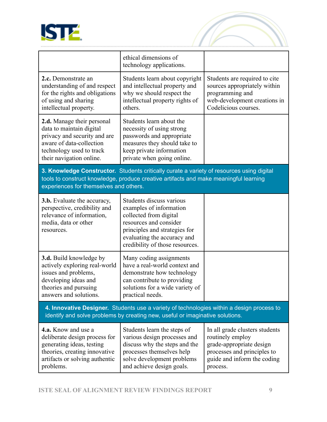

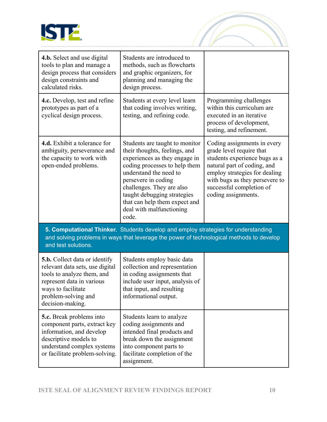

**4.b.** Select and use digital tools to plan and manage a design process that considers

**4.c.** Develop, test and refine

design constraints and

prototypes as part of a cyclical design process.

calculated risks.



|                                                                                                                         |                                                                                                                                                                                                                                                                                                                      | process of development,<br>testing, and refinement.                                                                                                                                                                                           |
|-------------------------------------------------------------------------------------------------------------------------|----------------------------------------------------------------------------------------------------------------------------------------------------------------------------------------------------------------------------------------------------------------------------------------------------------------------|-----------------------------------------------------------------------------------------------------------------------------------------------------------------------------------------------------------------------------------------------|
| <b>4.d.</b> Exhibit a tolerance for<br>ambiguity, perseverance and<br>the capacity to work with<br>open-ended problems. | Students are taught to monitor<br>their thoughts, feelings, and<br>experiences as they engage in<br>coding processes to help them<br>understand the need to<br>persevere in coding<br>challenges. They are also<br>taught debugging strategies<br>that can help them expect and<br>deal with malfunctioning<br>code. | Coding assignments in every<br>grade level require that<br>students experience bugs as a<br>natural part of coding, and<br>employ strategies for dealing<br>with bugs as they persevere to<br>successful completion of<br>coding assignments. |

**5. Computational Thinker.** Students develop and employ strategies for understanding and solving problems in ways that leverage the power of technological methods to develop and test solutions.

| <b>5.b.</b> Collect data or identify<br>relevant data sets, use digital<br>tools to analyze them, and<br>represent data in various<br>ways to facilitate<br>problem-solving and<br>decision-making. | Students employ basic data<br>collection and representation<br>in coding assignments that<br>include user input, analysis of<br>that input, and resulting<br>informational output.        |  |
|-----------------------------------------------------------------------------------------------------------------------------------------------------------------------------------------------------|-------------------------------------------------------------------------------------------------------------------------------------------------------------------------------------------|--|
| <b>5.c.</b> Break problems into<br>component parts, extract key<br>information, and develop<br>descriptive models to<br>understand complex systems<br>or facilitate problem-solving.                | Students learn to analyze<br>coding assignments and<br>intended final products and<br>break down the assignment<br>into component parts to<br>facilitate completion of the<br>assignment. |  |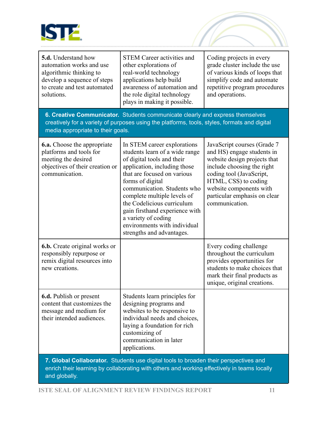

| <b>5.d.</b> Understand how<br>automation works and use<br>algorithmic thinking to<br>develop a sequence of steps<br>to create and test automated<br>solutions. | <b>STEM Career activities and</b><br>other explorations of<br>real-world technology<br>applications help build<br>awareness of automation and<br>the role digital technology<br>plays in making it possible.                                                                                                                                                                                     | Coding projects in every<br>grade cluster include the use<br>of various kinds of loops that<br>simplify code and automate<br>repetitive program procedures<br>and operations.                                                                            |  |
|----------------------------------------------------------------------------------------------------------------------------------------------------------------|--------------------------------------------------------------------------------------------------------------------------------------------------------------------------------------------------------------------------------------------------------------------------------------------------------------------------------------------------------------------------------------------------|----------------------------------------------------------------------------------------------------------------------------------------------------------------------------------------------------------------------------------------------------------|--|
| media appropriate to their goals.                                                                                                                              | 6. Creative Communicator. Students communicate clearly and express themselves<br>creatively for a variety of purposes using the platforms, tools, styles, formats and digital                                                                                                                                                                                                                    |                                                                                                                                                                                                                                                          |  |
| <b>6.a.</b> Choose the appropriate<br>platforms and tools for<br>meeting the desired<br>objectives of their creation or<br>communication.                      | In STEM career explorations<br>students learn of a wide range<br>of digital tools and their<br>application, including those<br>that are focused on various<br>forms of digital<br>communication. Students who<br>complete multiple levels of<br>the Codelicious curriculum<br>gain firsthand experience with<br>a variety of coding<br>environments with individual<br>strengths and advantages. | JavaScript courses (Grade 7<br>and HS) engage students in<br>website design projects that<br>include choosing the right<br>coding tool (JavaScript,<br>HTML, CSS) to coding<br>website components with<br>particular emphasis on clear<br>communication. |  |
| <b>6.b.</b> Create original works or<br>responsibly repurpose or<br>remix digital resources into<br>new creations.                                             |                                                                                                                                                                                                                                                                                                                                                                                                  | Every coding challenge<br>throughout the curriculum<br>provides opportunities for<br>students to make choices that<br>mark their final products as<br>unique, original creations.                                                                        |  |
| <b>6.d.</b> Publish or present<br>content that customizes the<br>message and medium for<br>their intended audiences.                                           | Students learn principles for<br>designing programs and<br>websites to be responsive to<br>individual needs and choices,<br>laying a foundation for rich<br>customizing of<br>communication in later<br>applications.                                                                                                                                                                            |                                                                                                                                                                                                                                                          |  |
| 7. Global Collaborator. Students use digital tools to broaden their perspectives and                                                                           |                                                                                                                                                                                                                                                                                                                                                                                                  |                                                                                                                                                                                                                                                          |  |

enrich their learning by collaborating with others and working effectively in teams locally and globally.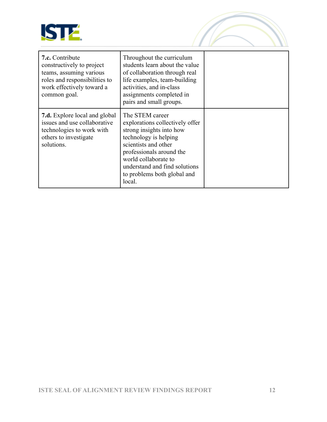

| 7.c. Contribute<br>constructively to project<br>teams, assuming various<br>roles and responsibilities to<br>work effectively toward a<br>common goal. | Throughout the curriculum<br>students learn about the value<br>of collaboration through real<br>life examples, team-building<br>activities, and in-class<br>assignments completed in<br>pairs and small groups.                                               |  |
|-------------------------------------------------------------------------------------------------------------------------------------------------------|---------------------------------------------------------------------------------------------------------------------------------------------------------------------------------------------------------------------------------------------------------------|--|
| <b>7.d.</b> Explore local and global<br>issues and use collaborative<br>technologies to work with<br>others to investigate<br>solutions.              | The STEM career<br>explorations collectively offer<br>strong insights into how<br>technology is helping<br>scientists and other<br>professionals around the<br>world collaborate to<br>understand and find solutions<br>to problems both global and<br>local. |  |